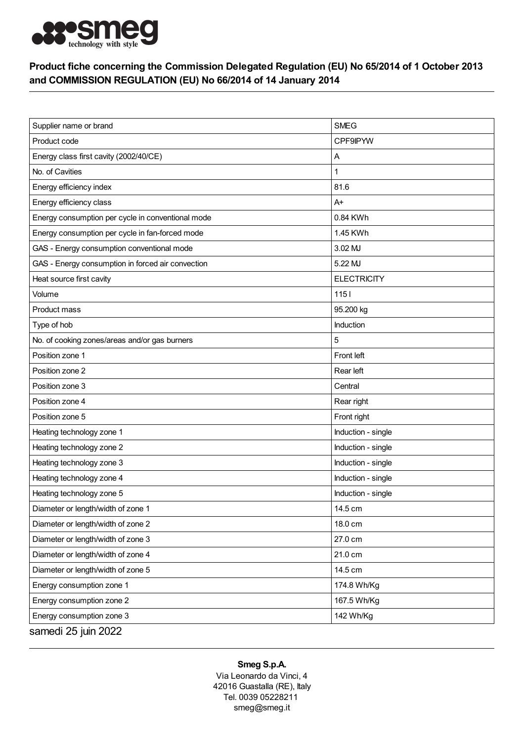

## Product fiche concerning the Commission Delegated Regulation (EU) No 65/2014 of 1 October 2013 and COMMISSION REGULATION (EU) No 66/2014 of 14 January 2014

| Supplier name or brand                            | <b>SMEG</b>        |
|---------------------------------------------------|--------------------|
| Product code                                      | <b>CPF9IPYW</b>    |
| Energy class first cavity (2002/40/CE)            | Α                  |
| No. of Cavities                                   | 1                  |
| Energy efficiency index                           | 81.6               |
| Energy efficiency class                           | $A+$               |
| Energy consumption per cycle in conventional mode | 0.84 KWh           |
| Energy consumption per cycle in fan-forced mode   | 1.45 KWh           |
| GAS - Energy consumption conventional mode        | 3.02 MJ            |
| GAS - Energy consumption in forced air convection | 5.22 MJ            |
| Heat source first cavity                          | <b>ELECTRICITY</b> |
| Volume                                            | 1151               |
| Product mass                                      | 95.200 kg          |
| Type of hob                                       | Induction          |
| No. of cooking zones/areas and/or gas burners     | 5                  |
| Position zone 1                                   | Front left         |
| Position zone 2                                   | Rear left          |
| Position zone 3                                   | Central            |
| Position zone 4                                   | Rear right         |
| Position zone 5                                   | Front right        |
| Heating technology zone 1                         | Induction - single |
| Heating technology zone 2                         | Induction - single |
| Heating technology zone 3                         | Induction - single |
| Heating technology zone 4                         | Induction - single |
| Heating technology zone 5                         | Induction - single |
| Diameter or length/width of zone 1                | 14.5 cm            |
| Diameter or length/width of zone 2                | 18.0 cm            |
| Diameter or length/width of zone 3                | 27.0 cm            |
| Diameter or length/width of zone 4                | 21.0 cm            |
| Diameter or length/width of zone 5                | 14.5 cm            |
| Energy consumption zone 1                         | 174.8 Wh/Kg        |
| Energy consumption zone 2                         | 167.5 Wh/Kg        |
| Energy consumption zone 3                         | 142 Wh/Kg          |
| samedi 25 juin 2022                               |                    |

## Smeg S.p.A.

Via Leonardo da Vinci, 4 42016 Guastalla (RE), Italy Tel. 0039 05228211 smeg@smeg.it